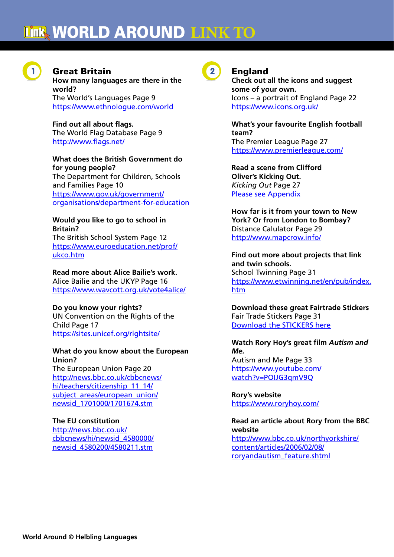

# **Great Britain**

**How many languages are there in the world?** The World's Languages Page 9 https://www.ethnologue.com/world

**Find out all about flags.** The World Flag Database Page 9 http://www.flags.net/

**What does the British Government do** 

**for young people?** The Department for Children, Schools and Families Page 10 https://www.gov.uk/government/ organisations/department-for-education

### **Would you like to go to school in Britain?**

The British School System Page 12 https://www.euroeducation.net/prof/ ukco.htm

### **Read more about Alice Bailie's work.**

Alice Bailie and the UKYP Page 16 https://www.wavcott.org.uk/vote4alice/

### **Do you know your rights?**

UN Convention on the Rights of the Child Page 17 https://sites.unicef.org/rightsite/

### **What do you know about the European Union?**

The European Union Page 20 http://news.bbc.co.uk/cbbcnews/ hi/teachers/citizenship 11 14/ subject areas/european union/ newsid\_1701000/1701674.stm

### **The EU constitution**

http://news.bbc.co.uk/ cbbcnews/hi/newsid\_4580000/ newsid\_4580200/4580211.stm



# **England**

**Check out all the icons and suggest some of your own.** Icons – a portrait of England Page 22 https://www.icons.org.uk/

**What's your favourite English football team?** The Premier League Page 27 https://www.premierleague.com/

**Read a scene from Clifford Oliver's Kicking Out.** *Kicking Out* Page 27 Please see Appendix

**How far is it from your town to New York? Or from London to Bombay?** Distance Calulator Page 29 http://www.mapcrow.info/

**Find out more about projects that link and twin schools.** School Twinning Page 31 https://www.etwinning.net/en/pub/index. htm

**Download these great Fairtrade Stickers** Fair Trade Stickers Page 31 Download the STICKERS here

### **Watch Rory Hoy's great film** *Autism and Me.* Autism and Me Page 33

https://www.youtube.com/ watch?v=POIJG3qmV9Q

**Rory's website** https://www.roryhoy.com/

### **Read an article about Rory from the BBC website**

http://www.bbc.co.uk/northyorkshire/ content/articles/2006/02/08/ roryandautism\_feature.shtml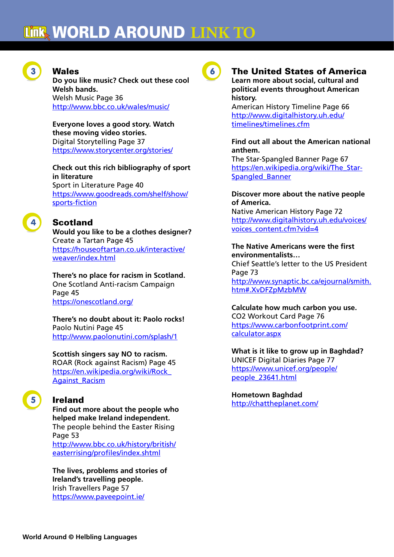

### **Wales**

**Do you like music? Check out these cool Welsh bands.** Welsh Music Page 36 http://www.bbc.co.uk/wales/music/

**Everyone loves a good story. Watch these moving video stories.** Digital Storytelling Page 37 https://www.storycenter.org/stories/

**Check out this rich bibliography of sport in literature** Sport in Literature Page 40 https://www.goodreads.com/shelf/show/ sports-fiction

# **Scotland**

**Would you like to be a clothes designer?** Create a Tartan Page 45 https://houseoftartan.co.uk/interactive/ weaver/index.html

**There's no place for racism in Scotland.** One Scotland Anti-racism Campaign Page 45 https://onescotland.org/

**There's no doubt about it: Paolo rocks!** Paolo Nutini Page 45 http://www.paolonutini.com/splash/1

**Scottish singers say NO to racism.** ROAR (Rock against Racism) Page 45 https://en.wikipedia.org/wiki/Rock\_ Against\_Racism

# **Ireland**

**Find out more about the people who helped make Ireland independent.** The people behind the Easter Rising Page 53 http://www.bbc.co.uk/history/british/ easterrising/profiles/index.shtml

**The lives, problems and stories of Ireland's travelling people.** Irish Travellers Page 57 https://www.paveepoint.ie/



### 6 The United States of America **Learn more about social, cultural and**

# **political events throughout American history.**

American History Timeline Page 66 http://www.digitalhistory.uh.edu/ timelines/timelines.cfm

### **Find out all about the American national anthem.**

The Star-Spangled Banner Page 67 https://en.wikipedia.org/wiki/The\_Star-Spangled\_Banner

### **Discover more about the native people of America.**

Native American History Page 72 http://www.digitalhistory.uh.edu/voices/ voices\_content.cfm?vid=4

#### **The Native Americans were the first environmentalists…**

Chief Seattle's letter to the US President Page 73 http://www.synaptic.bc.ca/ejournal/smith. htm#.XvDFZpMzbMW

### **Calculate how much carbon you use.** CO2 Workout Card Page 76 https://www.carbonfootprint.com/ calculator.aspx

**What is it like to grow up in Baghdad?** UNICEF Digital Diaries Page 77 https://www.unicef.org/people/ people\_23641.html

### **Hometown Baghdad**

http://chattheplanet.com/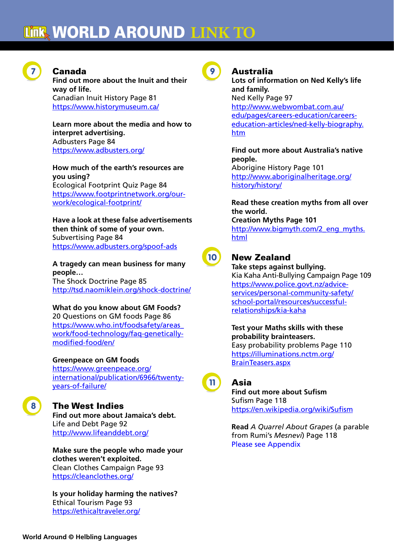

### 7 Canada

**Find out more about the Inuit and their way of life.** Canadian Inuit History Page 81 https://www.historymuseum.ca/

**Learn more about the media and how to interpret advertising.** Adbusters Page 84 https://www.adbusters.org/

**How much of the earth's resources are you using?** Ecological Footprint Quiz Page 84 https://www.footprintnetwork.org/ourwork/ecological-footprint/

**Have a look at these false advertisements then think of some of your own.** Subvertising Page 84 https://www.adbusters.org/spoof-ads

**A tragedy can mean business for many people…** The Shock Doctrine Page 85 http://tsd.naomiklein.org/shock-doctrine/

**What do you know about GM Foods?** 20 Questions on GM foods Page 86 https://www.who.int/foodsafety/areas\_ work/food-technology/faq-geneticallymodified-food/en/

**Greenpeace on GM foods**

https://www.greenpeace.org/ international/publication/6966/twentyyears-of-failure/



### **The West Indies**

**Find out more about Jamaica's debt.** Life and Debt Page 92 http://www.lifeanddebt.org/

**Make sure the people who made your clothes weren't exploited.** Clean Clothes Campaign Page 93 https://cleanclothes.org/

**Is your holiday harming the natives?** Ethical Tourism Page 93 https://ethicaltraveler.org/



# **Australia**

**Lots of information on Ned Kelly's life and family.** Ned Kelly Page 97 http://www.webwombat.com.au/ edu/pages/careers-education/careerseducation-articles/ned-kelly-biography. htm

**Find out more about Australia's native people.** Aborigine History Page 101 http://www.aboriginalheritage.org/ history/history/

**Read these creation myths from all over the world. Creation Myths Page 101** http://www.bigmyth.com/2\_eng\_myths. html



# 10 New Zealand

**Take steps against bullying.** Kia Kaha Anti-Bullying Campaign Page 109 https://www.police.govt.nz/adviceservices/personal-community-safety/ school-portal/resources/successfulrelationships/kia-kaha

**Test your Maths skills with these probability brainteasers.** Easy probability problems Page 110 https://illuminations.nctm.org/ BrainTeasers.aspx

11 Asia

**Find out more about Sufism** Sufism Page 118 https://en.wikipedia.org/wiki/Sufism

**Read** *A Quarrel About Grapes* (a parable from Rumi's *Mesnevi*) Page 118 Please see Appendix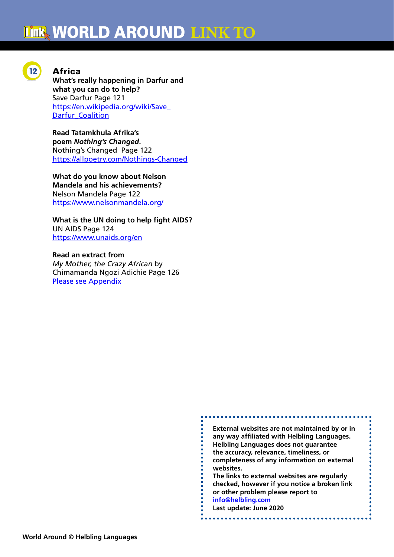

### **Africa**

**What's really happening in Darfur and what you can do to help?** Save Darfur Page 121 https://en.wikipedia.org/wiki/Save\_ Darfur\_Coalition

**Read Tatamkhula Afrika's poem** *Nothing's Changed***.** Nothing's Changed Page 122 https://allpoetry.com/Nothings-Changed

**What do you know about Nelson Mandela and his achievements?** Nelson Mandela Page 122 https://www.nelsonmandela.org/

**What is the UN doing to help fight AIDS?** UN AIDS Page 124 https://www.unaids.org/en

**Read an extract from** *My Mother, the Crazy African* by Chimamanda Ngozi Adichie Page 126 Please see Appendix

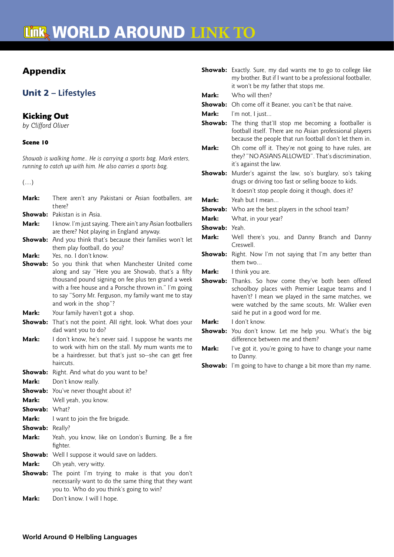# Appendix

# Unit 2 **– Lifestyles**

### Kicking Out

*by Clifford Oliver*

### Scene 10

*Showab is walking home.. He is carrying a sports bag. Mark enters, running to catch up with him. He also carries a sports bag.*

(….)

| Mark:   | There aren't any Pakistani or Asian footballers, are<br>there?                                                                                                                                                                                                                                         |
|---------|--------------------------------------------------------------------------------------------------------------------------------------------------------------------------------------------------------------------------------------------------------------------------------------------------------|
| Showab: | Pakistan is in Asia.                                                                                                                                                                                                                                                                                   |
| Mark:   | I know. I'm just saying. There ain't any Asian footballers<br>are there? Not playing in England anyway.                                                                                                                                                                                                |
| Showab: | And you think that's because their families won't let<br>them play football, do you?                                                                                                                                                                                                                   |
| Mark:   | Yes, no. I don't know.                                                                                                                                                                                                                                                                                 |
| Showab: | So you think that when Manchester United come<br>along and say "Here you are Showab, that's a fifty<br>thousand pound signing on fee plus ten grand a week<br>with a free house and a Porsche thrown in." I'm going<br>to say "Sorry Mr. Ferguson, my family want me to stay<br>and work in the shop"? |
| Mark:   | Your family haven't got a shop.                                                                                                                                                                                                                                                                        |
| Showab: | That's not the point. All right, look. What does your<br>dad want you to do?                                                                                                                                                                                                                           |
| Mark:   | I don't know, he's never said. I suppose he wants me<br>to work with him on the stall. My mum wants me to<br>be a hairdresser, but that's just so--she can get free<br>haircuts.                                                                                                                       |
| Showab: | Right. And what do you want to be?                                                                                                                                                                                                                                                                     |
| Mark:   | Don't know really.                                                                                                                                                                                                                                                                                     |
| Showab: | You've never thought about it?                                                                                                                                                                                                                                                                         |
| Mark:   | Well yeah, you know.                                                                                                                                                                                                                                                                                   |
| Showab: | What?                                                                                                                                                                                                                                                                                                  |
| Mark:   | I want to join the fire brigade.                                                                                                                                                                                                                                                                       |
| Showab: | Really?                                                                                                                                                                                                                                                                                                |
| Mark:   | Yeah, you know, like on London's Burning. Be a fire<br>fighter.                                                                                                                                                                                                                                        |
| Showab: | Well I suppose it would save on ladders.                                                                                                                                                                                                                                                               |
| Mark:   | Oh yeah, very witty.                                                                                                                                                                                                                                                                                   |
| Showab: | The point I'm trying to make is that you don't<br>necessarily want to do the same thing that they want<br>you to. Who do you think's going to win?                                                                                                                                                     |
| Mark:   | Don't know. I will I hope.                                                                                                                                                                                                                                                                             |

|         | <b>Showab:</b> Exactly. Sure, my dad wants me to go to college like<br>my brother. But if I want to be a professional footballer,<br>it won't be my father that stops me.                                                                        |
|---------|--------------------------------------------------------------------------------------------------------------------------------------------------------------------------------------------------------------------------------------------------|
| Mark:   | Who will then?                                                                                                                                                                                                                                   |
|         | <b>Showab:</b> Oh come off it Beaner, you can't be that naive.                                                                                                                                                                                   |
| Mark:   | I'm not, I just                                                                                                                                                                                                                                  |
|         | Showab: The thing that'll stop me becoming a footballer is<br>football itself. There are no Asian professional players<br>because the people that run football don't let them in.                                                                |
| Mark:   | Oh come off it. They're not going to have rules, are<br>they? "NO ASIANS ALLOWED". That's discrimination,<br>it's against the law.                                                                                                               |
| Showab: | Murder's against the law, so's burglary, so's taking<br>drugs or driving too fast or selling booze to kids.<br>It doesn't stop people doing it though, does it?                                                                                  |
| Mark:   | Yeah but I mean                                                                                                                                                                                                                                  |
|         | <b>Showab:</b> Who are the best players in the school team?                                                                                                                                                                                      |
| Mark:   | What, in your year?                                                                                                                                                                                                                              |
| Showab: | Yeah.                                                                                                                                                                                                                                            |
| Mark:   | Well there's you, and Danny Branch and Danny<br>Creswell.                                                                                                                                                                                        |
| Showab: | Right. Now I'm not saying that I'm any better than<br>them two                                                                                                                                                                                   |
| Mark:   | I think you are.                                                                                                                                                                                                                                 |
| Showab: | Thanks. So how come they've both been offered<br>schoolboy places with Premier League teams and I<br>haven't? I mean we played in the same matches, we<br>were watched by the same scouts, Mr. Walker even<br>said he put in a good word for me. |
| Mark:   | I don't know.                                                                                                                                                                                                                                    |
| Showab: | You don't know. Let me help you. What's the big<br>difference between me and them?                                                                                                                                                               |
| Mark:   | I've got it, you're going to have to change your name<br>to Danny.                                                                                                                                                                               |
| Showab: | I'm going to have to change a bit more than my name.                                                                                                                                                                                             |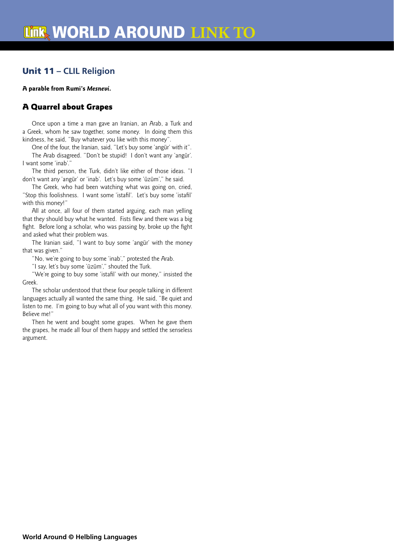# Unit 11 **– CLIL Religion**

#### **A parable from Rumi's** *Mesnevi***.**

### A Quarrel about Grapes

Once upon a time a man gave an Iranian, an Arab, a Turk and a Greek, whom he saw together, some money. In doing them this kindness, he said, "Buy whatever you like with this money".

One of the four, the Iranian, said, "Let's buy some 'angür' with it". The Arab disagreed. "Don't be stupid! I don't want any 'angür'. I want some 'inab'.'

The third person, the Turk, didn't like either of those ideas. "I don't want any 'angür' or 'inab'. Let's buy some 'üzüm'," he said.

The Greek, who had been watching what was going on, cried, "Stop this foolishness. I want some 'istafil'. Let's buy some 'istafil' with this money!"

All at once, all four of them started arguing, each man yelling that they should buy what he wanted. Fists flew and there was a big fight. Before long a scholar, who was passing by, broke up the fight and asked what their problem was.

The Iranian said, "I want to buy some 'angür' with the money that was given."

"No, we're going to buy some 'inab'," protested the Arab.

"I say, let's buy some 'üzüm'," shouted the Turk.

"We're going to buy some 'istafil' with our money," insisted the Greek.

The scholar understood that these four people talking in different languages actually all wanted the same thing. He said, "Be quiet and listen to me. I'm going to buy what all of you want with this money. Believe me!"

Then he went and bought some grapes. When he gave them the grapes, he made all four of them happy and settled the senseless argument.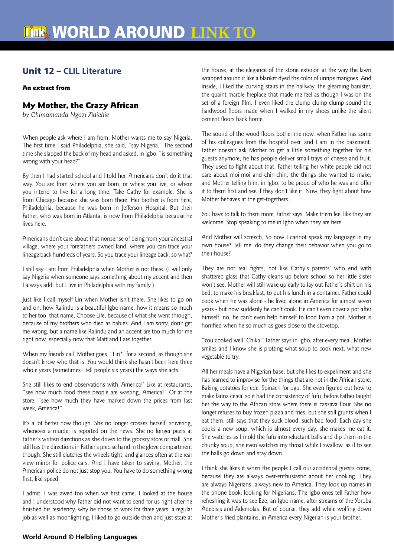# Unit 12 **– CLIL Literature**

#### An extract from

### My Mother, the Crazy African

*by Chimamanda Ngozi Adichie* 

When people ask where I am from, Mother wants me to say Nigeria. The first time I said Philadelphia, she said, "say Nigeria." The second time she slapped the back of my head and asked, in Igbo, "is something wrong with your head?"

By then I had started school and I told her, Americans don't do it that way. You are from where you are born, or where you live, or where you intend to live for a long time. Take Cathy for example. She is from Chicago because she was born there. Her brother is from here, Philadelphia, because he was born in Jefferson Hospital. But their Father, who was born in Atlanta, is now from Philadelphia because he lives here.

Americans don't care about that nonsense of being from your ancestral village, where your forefathers owned land, where you can trace your lineage back hundreds of years. So you trace your lineage back, so what?

I still say I am from Philadelphia when Mother is not there. (I will only say Nigeria when someone says something about my accent and then I always add, but I live in Philadelphia with my family.)

Just like I call myself Lin when Mother isn't there. She likes to go on and on, how Ralindu is a beautiful Igbo name, how it means so much to her too, that name, Choose Life, because of what she went through, because of my brothers who died as babies. And I am sorry, don't get me wrong, but a name like Ralindu and an accent are too much for me right now, especially now that Matt and I are together.

When my friends call, Mother goes, "Lin?" for a second, as though she doesn't know who that is. You would think she hasn't been here three whole years (sometimes I tell people six years) the ways she acts.

She still likes to end observations with 'America!' Like at restaurants, "see how much food these people are wasting, America!" Or at the store, "see how much they have marked down the prices from last week, America!"

It's a lot better now though. She no longer crosses herself, shivering, whenever a murder is reported on the news. She no longer peers at Father's written directions as she drives to the grocery store or mall. She still has the directions in Father's precise hand in the glove compartment though. She still clutches the wheels tight, and glances often at the rear view mirror for police cars. And I have taken to saying, Mother, the American police do not just stop you. You have to do something wrong first, like speed.

I admit, I was awed too when we first came. I looked at the house and I understood why Father did not want to send for us right after he finished his residency, why he chose to work for three years, a regular job as well as moonlighting. I liked to go outside then and just stare at

the house, at the elegance of the stone exterior, at the way the lawn wrapped around it like a blanket dyed the color of unripe mangoes. And inside, I liked the curving stairs in the hallway, the gleaming banister, the quaint marble fireplace that made me feel as though I was on the set of a foreign film. I even liked the clump-clump-clump sound the hardwood floors made when I walked in my shoes unlike the silent cement floors back home.

The sound of the wood floors bother me now, when Father has some of his colleagues from the hospital over, and I am in the basement. Father doesn't ask Mother to get a little something together for his guests anymore, he has people deliver small trays of cheese and fruit. They used to fight about that, Father telling her white people did not care about moi-moi and chin-chin, the things she wanted to make, and Mother telling him, in Igbo, to be proud of who he was and offer it to them first and see if they don't like it. Now, they fight about how Mother behaves at the get-togethers.

You have to talk to them more, Father says. Make them feel like they are welcome. Stop speaking to me in Igbo when they are here.

And Mother will screech, So now I cannot speak my language in my own house? Tell me, do they change their behavior when you go to their house?

They are not real fights, not like Cathy's parents' who end with shattered glass that Cathy cleans up before school so her little sister won't see. Mother will still wake up early to lay out Father's shirt on his bed, to make his breakfast, to put his lunch in a container. Father could cook when he was alone - he lived alone in America for almost seven years - but now suddenly he can't cook. He can't even cover a pot after himself, no, he can't even help himself to food from a pot. Mother is horrified when he so much as goes close to the stovetop.

"You cooked well, Chika," Father says in Igbo, after every meal. Mother smiles and I know she is plotting what soup to cook next, what new vegetable to try.

All her meals have a Nigerian base, but she likes to experiment and she has learned to improvise for the things that are not in the African store. Baking potatoes for ede. Spinach for ugu. She even figured out how to make farina cereal so it had the consistency of fufu, before Father taught her the way to the African store where there is cassava flour. She no longer refuses to buy frozen pizza and fries, but she still grunts when I eat them, still says that they suck blood, such bad food. Each day she cooks a new soup, which is almost every day, she makes me eat it. She watches as I mold the fufu into reluctant balls and dip them in the chunky soup, she even watches my throat while I swallow, as if to see the balls go down and stay down.

I think she likes it when the people I call our accidental guests come, because they are always over-enthusiastic about her cooking. They are always Nigerians, always new to America. They look up names in the phone book, looking for Nigerians. The Igbo ones tell Father how refreshing it was to see Eze, an Igbo name, after streams of the Yoruba Adebisis and Ademolas. But of course, they add while wolfing down Mother's fried plantains, in America every Nigerian is your brother.